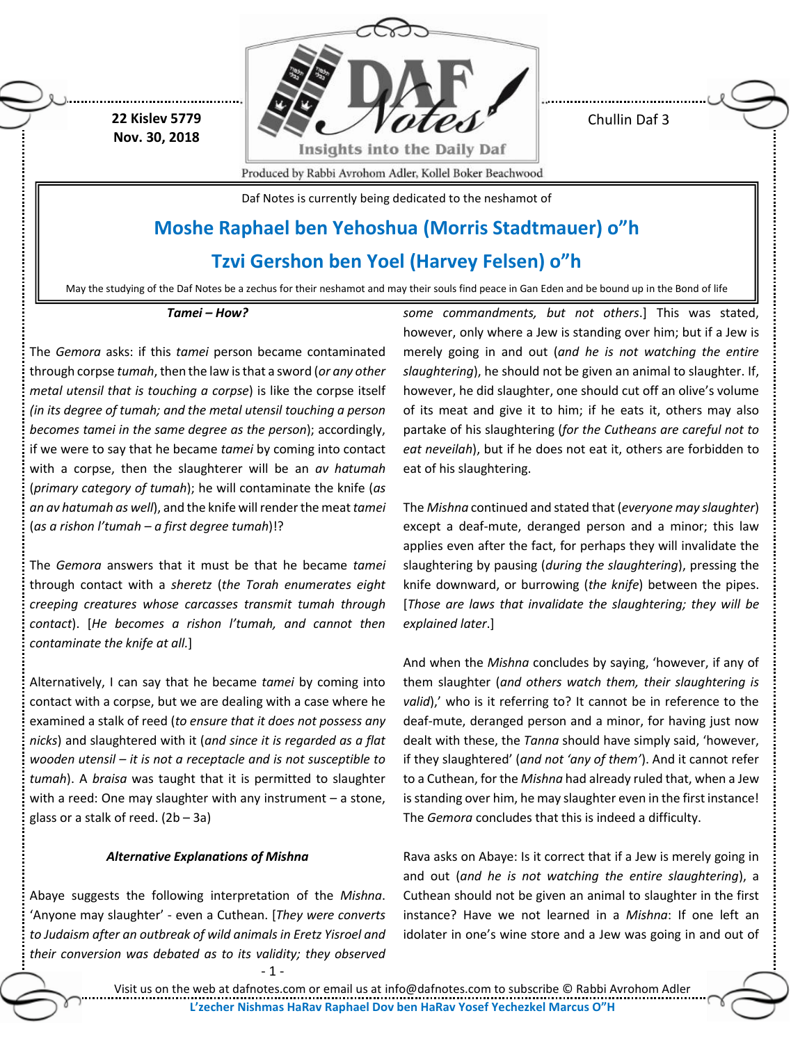**22 Kislev 5779 Nov. 30, 2018**



Chullin Daf 3

Produced by Rabbi Avrohom Adler, Kollel Boker Beachwood

Daf Notes is currently being dedicated to the neshamot of

# **Moshe Raphael ben Yehoshua (Morris Stadtmauer) o"h**

# **Tzvi Gershon ben Yoel (Harvey Felsen) o"h**

May the studying of the Daf Notes be a zechus for their neshamot and may their souls find peace in Gan Eden and be bound up in the Bond of life

## *Tamei – How?*

The *Gemora* asks: if this *tamei* person became contaminated through corpse *tumah*, then the law is that a sword (*or any other metal utensil that is touching a corpse*) is like the corpse itself *(in its degree of tumah; and the metal utensil touching a person becomes tamei in the same degree as the person*); accordingly, if we were to say that he became *tamei* by coming into contact with a corpse, then the slaughterer will be an *av hatumah* (*primary category of tumah*); he will contaminate the knife (*as an av hatumah as well*), and the knife will render the meat *tamei* (*as a rishon l'tumah – a first degree tumah*)!?

The *Gemora* answers that it must be that he became *tamei* through contact with a *sheretz* (*the Torah enumerates eight creeping creatures whose carcasses transmit tumah through contact*). [*He becomes a rishon l'tumah, and cannot then contaminate the knife at all.*]

Alternatively, I can say that he became *tamei* by coming into contact with a corpse, but we are dealing with a case where he examined a stalk of reed (*to ensure that it does not possess any nicks*) and slaughtered with it (*and since it is regarded as a flat wooden utensil – it is not a receptacle and is not susceptible to tumah*). A *braisa* was taught that it is permitted to slaughter with a reed: One may slaughter with any instrument – a stone, glass or a stalk of reed.  $(2b - 3a)$ 

# *Alternative Explanations of Mishna*

Abaye suggests the following interpretation of the *Mishna*. 'Anyone may slaughter' - even a Cuthean. [*They were converts to Judaism after an outbreak of wild animals in Eretz Yisroel and their conversion was debated as to its validity; they observed* 

- 1 -

*some commandments, but not others*.] This was stated, however, only where a Jew is standing over him; but if a Jew is merely going in and out (*and he is not watching the entire slaughtering*), he should not be given an animal to slaughter. If, however, he did slaughter, one should cut off an olive's volume of its meat and give it to him; if he eats it, others may also partake of his slaughtering (*for the Cutheans are careful not to eat neveilah*), but if he does not eat it, others are forbidden to eat of his slaughtering.

The *Mishna* continued and stated that (*everyone may slaughter*) except a deaf-mute, deranged person and a minor; this law applies even after the fact, for perhaps they will invalidate the slaughtering by pausing (*during the slaughtering*), pressing the knife downward, or burrowing (*the knife*) between the pipes. [*Those are laws that invalidate the slaughtering; they will be explained later*.]

And when the *Mishna* concludes by saying, 'however, if any of them slaughter (*and others watch them, their slaughtering is valid*),' who is it referring to? It cannot be in reference to the deaf-mute, deranged person and a minor, for having just now dealt with these, the *Tanna* should have simply said, 'however, if they slaughtered' (*and not 'any of them'*). And it cannot refer to a Cuthean, for the *Mishna* had already ruled that, when a Jew is standing over him, he may slaughter even in the first instance! The *Gemora* concludes that this is indeed a difficulty.

Rava asks on Abaye: Is it correct that if a Jew is merely going in and out (*and he is not watching the entire slaughtering*), a Cuthean should not be given an animal to slaughter in the first instance? Have we not learned in a *Mishna*: If one left an idolater in one's wine store and a Jew was going in and out of

Visit us on the web at dafnotes.com or email us at [info@dafnotes.com](mailto:info@dafnotes.com) to subscribe © Rabbi Avrohom Adler **L'zecher Nishmas HaRav Raphael Dov ben HaRav Yosef Yechezkel Marcus O"H**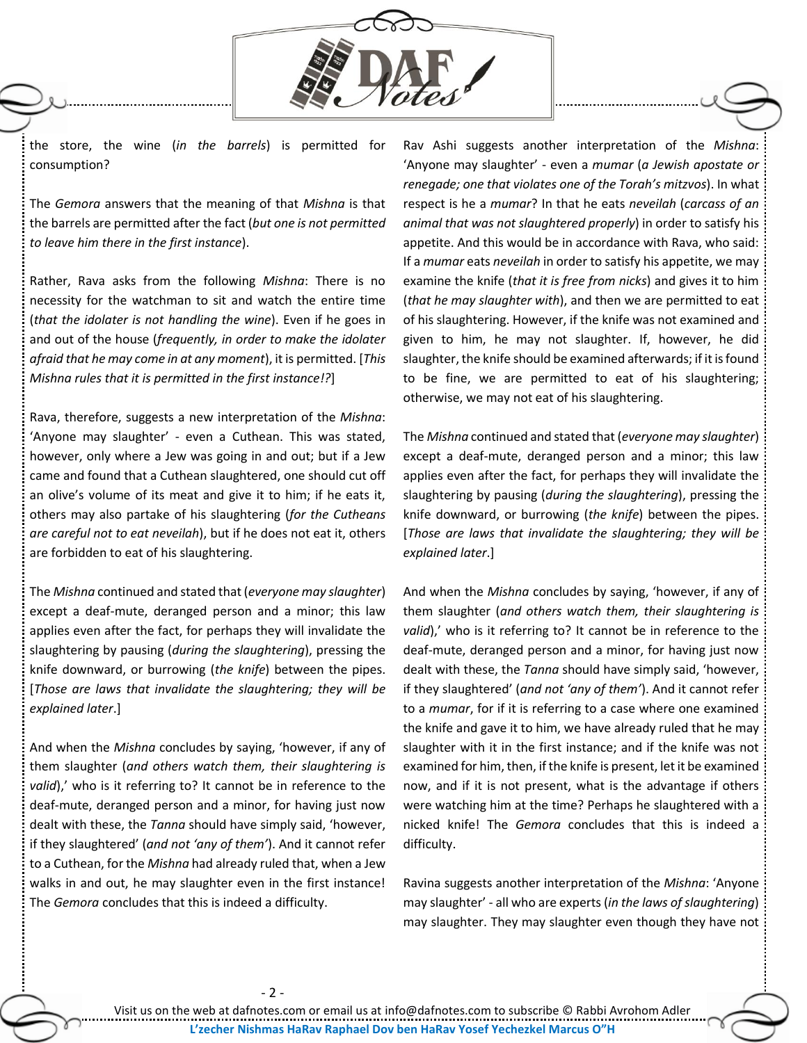

the store, the wine (*in the barrels*) is permitted for consumption?

The *Gemora* answers that the meaning of that *Mishna* is that the barrels are permitted after the fact (*but one is not permitted to leave him there in the first instance*).

Rather, Rava asks from the following *Mishna*: There is no necessity for the watchman to sit and watch the entire time (*that the idolater is not handling the wine*). Even if he goes in and out of the house (*frequently, in order to make the idolater afraid that he may come in at any moment*), it is permitted. [*This Mishna rules that it is permitted in the first instance!?*]

Rava, therefore, suggests a new interpretation of the *Mishna*: 'Anyone may slaughter' - even a Cuthean. This was stated, however, only where a Jew was going in and out; but if a Jew came and found that a Cuthean slaughtered, one should cut off an olive's volume of its meat and give it to him; if he eats it, others may also partake of his slaughtering (*for the Cutheans are careful not to eat neveilah*), but if he does not eat it, others are forbidden to eat of his slaughtering.

The *Mishna* continued and stated that (*everyone may slaughter*) except a deaf-mute, deranged person and a minor; this law applies even after the fact, for perhaps they will invalidate the slaughtering by pausing (*during the slaughtering*), pressing the knife downward, or burrowing (*the knife*) between the pipes. [*Those are laws that invalidate the slaughtering; they will be explained later*.]

And when the *Mishna* concludes by saying, 'however, if any of them slaughter (*and others watch them, their slaughtering is valid*),' who is it referring to? It cannot be in reference to the deaf-mute, deranged person and a minor, for having just now dealt with these, the *Tanna* should have simply said, 'however, if they slaughtered' (*and not 'any of them'*). And it cannot refer to a Cuthean, for the *Mishna* had already ruled that, when a Jew walks in and out, he may slaughter even in the first instance! The *Gemora* concludes that this is indeed a difficulty.

- 2 -

Rav Ashi suggests another interpretation of the *Mishna*: 'Anyone may slaughter' - even a *mumar* (*a Jewish apostate or renegade; one that violates one of the Torah's mitzvos*). In what respect is he a *mumar*? In that he eats *neveilah* (*carcass of an animal that was not slaughtered properly*) in order to satisfy his appetite. And this would be in accordance with Rava, who said: If a *mumar* eats *neveilah* in order to satisfy his appetite, we may examine the knife (*that it is free from nicks*) and gives it to him (*that he may slaughter with*), and then we are permitted to eat of his slaughtering. However, if the knife was not examined and given to him, he may not slaughter. If, however, he did slaughter, the knife should be examined afterwards; if it is found to be fine, we are permitted to eat of his slaughtering; otherwise, we may not eat of his slaughtering.

The *Mishna* continued and stated that (*everyone may slaughter*) except a deaf-mute, deranged person and a minor; this law applies even after the fact, for perhaps they will invalidate the slaughtering by pausing (*during the slaughtering*), pressing the knife downward, or burrowing (*the knife*) between the pipes. [*Those are laws that invalidate the slaughtering; they will be explained later*.]

And when the *Mishna* concludes by saying, 'however, if any of them slaughter (*and others watch them, their slaughtering is*  valid),' who is it referring to? It cannot be in reference to the deaf-mute, deranged person and a minor, for having just now dealt with these, the *Tanna* should have simply said, 'however, if they slaughtered' (*and not 'any of them'*). And it cannot refer to a *mumar*, for if it is referring to a case where one examined the knife and gave it to him, we have already ruled that he may slaughter with it in the first instance; and if the knife was not examined for him, then, if the knife is present, let it be examined now, and if it is not present, what is the advantage if others were watching him at the time? Perhaps he slaughtered with a nicked knife! The *Gemora* concludes that this is indeed a difficulty.

Ravina suggests another interpretation of the *Mishna*: 'Anyone may slaughter' - all who are experts (*in the laws of slaughtering*) may slaughter. They may slaughter even though they have not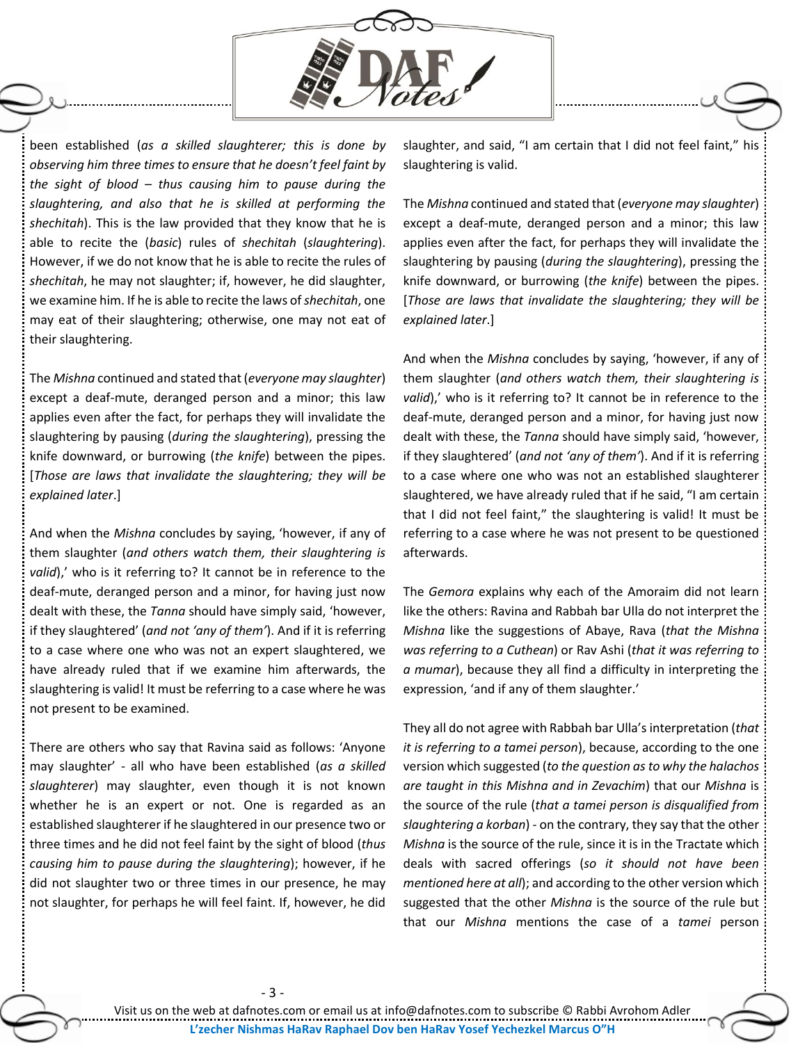

been established (*as a skilled slaughterer; this is done by observing him three times to ensure that he doesn't feel faint by the sight of blood – thus causing him to pause during the slaughtering, and also that he is skilled at performing the shechitah*). This is the law provided that they know that he is able to recite the (*basic*) rules of *shechitah* (*slaughtering*). However, if we do not know that he is able to recite the rules of *shechitah*, he may not slaughter; if, however, he did slaughter, we examine him. If he is able to recite the laws of *shechitah*, one may eat of their slaughtering; otherwise, one may not eat of their slaughtering.

The *Mishna* continued and stated that (*everyone may slaughter*) except a deaf-mute, deranged person and a minor; this law applies even after the fact, for perhaps they will invalidate the slaughtering by pausing (*during the slaughtering*), pressing the knife downward, or burrowing (*the knife*) between the pipes. [*Those are laws that invalidate the slaughtering; they will be explained later*.]

And when the *Mishna* concludes by saying, 'however, if any of them slaughter (*and others watch them, their slaughtering is*  valid),' who is it referring to? It cannot be in reference to the deaf-mute, deranged person and a minor, for having just now dealt with these, the *Tanna* should have simply said, 'however, if they slaughtered' (*and not 'any of them'*). And if it is referring to a case where one who was not an expert slaughtered, we have already ruled that if we examine him afterwards, the slaughtering is valid! It must be referring to a case where he was not present to be examined.

There are others who say that Ravina said as follows: 'Anyone may slaughter' - all who have been established (*as a skilled slaughterer*) may slaughter, even though it is not known whether he is an expert or not. One is regarded as an established slaughterer if he slaughtered in our presence two or three times and he did not feel faint by the sight of blood (*thus causing him to pause during the slaughtering*); however, if he did not slaughter two or three times in our presence, he may not slaughter, for perhaps he will feel faint. If, however, he did

slaughter, and said, "I am certain that I did not feel faint," his slaughtering is valid.

The *Mishna* continued and stated that (*everyone may slaughter*) except a deaf-mute, deranged person and a minor; this law applies even after the fact, for perhaps they will invalidate the slaughtering by pausing (*during the slaughtering*), pressing the knife downward, or burrowing (*the knife*) between the pipes. [*Those are laws that invalidate the slaughtering; they will be explained later*.]

And when the *Mishna* concludes by saying, 'however, if any of them slaughter (*and others watch them, their slaughtering is*  valid),' who is it referring to? It cannot be in reference to the deaf-mute, deranged person and a minor, for having just now dealt with these, the *Tanna* should have simply said, 'however, if they slaughtered' (*and not 'any of them'*). And if it is referring to a case where one who was not an established slaughterer slaughtered, we have already ruled that if he said, "I am certain that I did not feel faint," the slaughtering is valid! It must be referring to a case where he was not present to be questioned afterwards.

The *Gemora* explains why each of the Amoraim did not learn like the others: Ravina and Rabbah bar Ulla do not interpret the *Mishna* like the suggestions of Abaye, Rava (*that the Mishna was referring to a Cuthean*) or Rav Ashi (*that it was referring to a mumar*), because they all find a difficulty in interpreting the expression, 'and if any of them slaughter.'

They all do not agree with Rabbah bar Ulla's interpretation (*that it is referring to a tamei person*), because, according to the one version which suggested (*to the question as to why the halachos are taught in this Mishna and in Zevachim*) that our *Mishna* is the source of the rule (*that a tamei person is disqualified from slaughtering a korban*) - on the contrary, they say that the other *Mishna* is the source of the rule, since it is in the Tractate which deals with sacred offerings (*so it should not have been mentioned here at all*); and according to the other version which suggested that the other *Mishna* is the source of the rule but that our *Mishna* mentions the case of a *tamei* person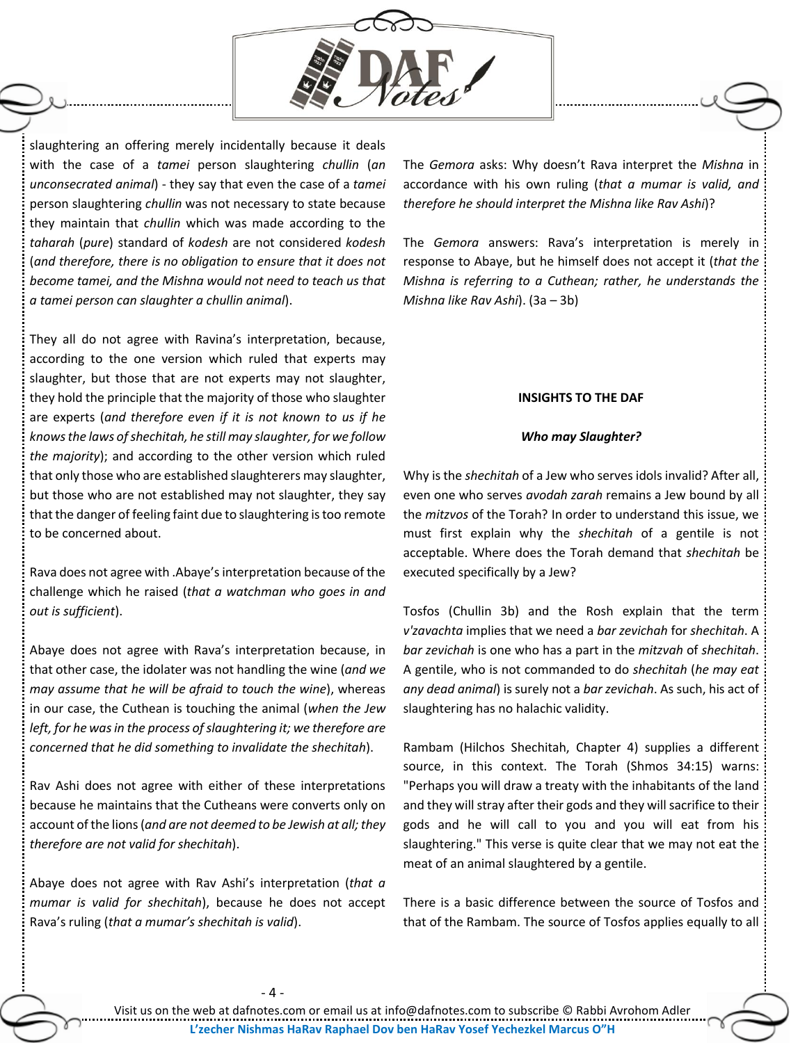

slaughtering an offering merely incidentally because it deals with the case of a *tamei* person slaughtering *chullin* (*an unconsecrated animal*) - they say that even the case of a *tamei* person slaughtering *chullin* was not necessary to state because they maintain that *chullin* which was made according to the *taharah* (*pure*) standard of *kodesh* are not considered *kodesh* (*and therefore, there is no obligation to ensure that it does not become tamei, and the Mishna would not need to teach us that a tamei person can slaughter a chullin animal*).

They all do not agree with Ravina's interpretation, because, according to the one version which ruled that experts may slaughter, but those that are not experts may not slaughter, they hold the principle that the majority of those who slaughter are experts (*and therefore even if it is not known to us if he knows the laws of shechitah, he still may slaughter, for we follow the majority*); and according to the other version which ruled that only those who are established slaughterers may slaughter, but those who are not established may not slaughter, they say that the danger of feeling faint due to slaughtering is too remote to be concerned about.

Rava does not agree with .Abaye'sinterpretation because of the challenge which he raised (*that a watchman who goes in and out is sufficient*).

Abaye does not agree with Rava's interpretation because, in that other case, the idolater was not handling the wine (*and we may assume that he will be afraid to touch the wine*), whereas in our case, the Cuthean is touching the animal (*when the Jew left, for he was in the process of slaughtering it; we therefore are concerned that he did something to invalidate the shechitah*).

Rav Ashi does not agree with either of these interpretations because he maintains that the Cutheans were converts only on account of the lions(*and are not deemed to be Jewish at all; they therefore are not valid for shechitah*).

Abaye does not agree with Rav Ashi's interpretation (*that a mumar is valid for shechitah*), because he does not accept Rava's ruling (*that a mumar's shechitah is valid*).

The *Gemora* asks: Why doesn't Rava interpret the *Mishna* in accordance with his own ruling (*that a mumar is valid, and therefore he should interpret the Mishna like Rav Ashi*)?

The *Gemora* answers: Rava's interpretation is merely in response to Abaye, but he himself does not accept it (*that the Mishna is referring to a Cuthean; rather, he understands the Mishna like Rav Ashi*). (3a – 3b)

# **INSIGHTS TO THE DAF**

#### *Who may Slaughter?*

Why is the *shechitah* of a Jew who serves idols invalid? After all, even one who serves *avodah zarah* remains a Jew bound by all the *mitzvos* of the Torah? In order to understand this issue, we must first explain why the *shechitah* of a gentile is not acceptable. Where does the Torah demand that *shechitah* be executed specifically by a Jew?

Tosfos (Chullin 3b) and the Rosh explain that the term *v'zavachta* implies that we need a *bar zevichah* for *shechitah*. A *bar zevichah* is one who has a part in the *mitzvah* of *shechitah*. A gentile, who is not commanded to do *shechitah* (*he may eat any dead animal*) is surely not a *bar zevichah*. As such, his act of slaughtering has no halachic validity.

Rambam (Hilchos Shechitah, Chapter 4) supplies a different source, in this context. The Torah (Shmos 34:15) warns: "Perhaps you will draw a treaty with the inhabitants of the land and they will stray after their gods and they will sacrifice to their gods and he will call to you and you will eat from his slaughtering." This verse is quite clear that we may not eat the meat of an animal slaughtered by a gentile.

There is a basic difference between the source of Tosfos and that of the Rambam. The source of Tosfos applies equally to all

Visit us on the web at dafnotes.com or email us at [info@dafnotes.com](mailto:info@dafnotes.com) to subscribe © Rabbi Avrohom Adler **L'zecher Nishmas HaRav Raphael Dov ben HaRav Yosef Yechezkel Marcus O"H**